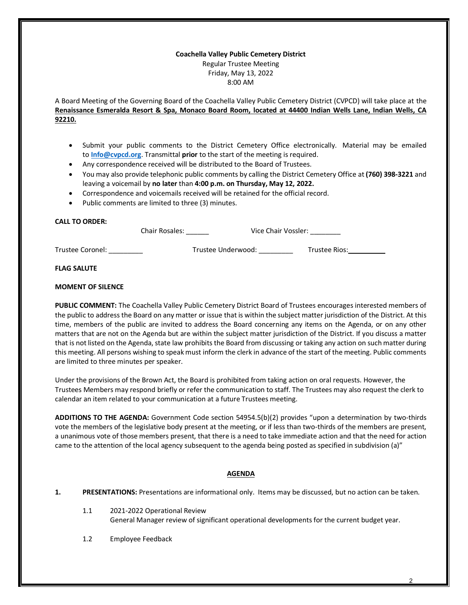#### **Coachella Valley Public Cemetery District** Regular Trustee Meeting Friday, May 13, 2022 8:00 AM

A Board Meeting of the Governing Board of the Coachella Valley Public Cemetery District (CVPCD) will take place at the **Renaissance Esmeralda Resort & Spa, Monaco Board Room, located at 44400 Indian Wells Lane, Indian Wells, CA 92210.**

- Submit your public comments to the District Cemetery Office electronically. Material may be emailed to **[Info@cvpcd.org](mailto:Info@cvpcd.org)**. Transmittal **prior** to the start of the meeting is required.
- Any correspondence received will be distributed to the Board of Trustees.
- You may also provide telephonic public comments by calling the District Cemetery Office at **(760) 398-3221** and leaving a voicemail by **no later** than **4:00 p.m. on Thursday, May 12, 2022.**
- Correspondence and voicemails received will be retained for the official record.
- Public comments are limited to three (3) minutes.

# **CALL TO ORDER:**

|                  | <b>Chair Rosales:</b> | Vice Chair Vossler: |  |
|------------------|-----------------------|---------------------|--|
| Trustee Coronel: | Trustee Underwood:    | Trustee Rios:       |  |

### **FLAG SALUTE**

### **MOMENT OF SILENCE**

**PUBLIC COMMENT:** The Coachella Valley Public Cemetery District Board of Trustees encourages interested members of the public to address the Board on any matter or issue that is within the subject matter jurisdiction of the District. At this time, members of the public are invited to address the Board concerning any items on the Agenda, or on any other matters that are not on the Agenda but are within the subject matter jurisdiction of the District. If you discuss a matter that is not listed on the Agenda, state law prohibits the Board from discussing or taking any action on such matter during this meeting. All persons wishing to speak must inform the clerk in advance of the start of the meeting. Public comments are limited to three minutes per speaker.

Under the provisions of the Brown Act, the Board is prohibited from taking action on oral requests. However, the Trustees Members may respond briefly or refer the communication to staff. The Trustees may also request the clerk to calendar an item related to your communication at a future Trustees meeting.

**ADDITIONS TO THE AGENDA:** Government Code section 54954.5(b)(2) provides "upon a determination by two-thirds vote the members of the legislative body present at the meeting, or if less than two-thirds of the members are present, a unanimous vote of those members present, that there is a need to take immediate action and that the need for action came to the attention of the local agency subsequent to the agenda being posted as specified in subdivision (a)"

# **AGENDA**

- **1. PRESENTATIONS:** Presentations are informational only. Items may be discussed, but no action can be taken.
	- 1.1 2021-2022 Operational Review General Manager review of significant operational developments for the current budget year.
	- 1.2 Employee Feedback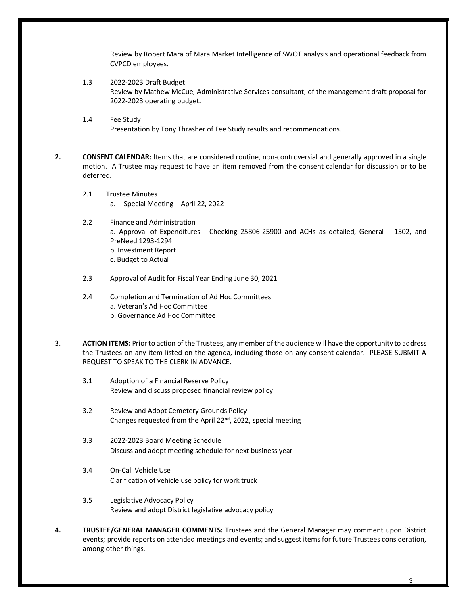Review by Robert Mara of Mara Market Intelligence of SWOT analysis and operational feedback from CVPCD employees.

- 1.3 2022-2023 Draft Budget Review by Mathew McCue, Administrative Services consultant, of the management draft proposal for 2022-2023 operating budget.
- 1.4 Fee Study Presentation by Tony Thrasher of Fee Study results and recommendations.
- **2. CONSENT CALENDAR:** Items that are considered routine, non-controversial and generally approved in a single motion. A Trustee may request to have an item removed from the consent calendar for discussion or to be deferred.
	- 2.1 Trustee Minutes
		- a. Special Meeting April 22, 2022
	- 2.2 Finance and Administration a. Approval of Expenditures - Checking 25806-25900 and ACHs as detailed, General – 1502, and PreNeed 1293-1294 b. Investment Report c. Budget to Actual
	- 2.3 Approval of Audit for Fiscal Year Ending June 30, 2021
	- 2.4 Completion and Termination of Ad Hoc Committees a. Veteran's Ad Hoc Committee b. Governance Ad Hoc Committee
- 3. **ACTION ITEMS:** Prior to action of the Trustees, any member of the audience will have the opportunity to address the Trustees on any item listed on the agenda, including those on any consent calendar. PLEASE SUBMIT A REQUEST TO SPEAK TO THE CLERK IN ADVANCE.
	- 3.1 Adoption of a Financial Reserve Policy Review and discuss proposed financial review policy
	- 3.2 Review and Adopt Cemetery Grounds Policy Changes requested from the April 22<sup>nd</sup>, 2022, special meeting
	- 3.3 2022-2023 Board Meeting Schedule Discuss and adopt meeting schedule for next business year
	- 3.4 On-Call Vehicle Use Clarification of vehicle use policy for work truck
	- 3.5 Legislative Advocacy Policy Review and adopt District legislative advocacy policy
- **4. TRUSTEE/GENERAL MANAGER COMMENTS:** Trustees and the General Manager may comment upon District events; provide reports on attended meetings and events; and suggest items for future Trustees consideration, among other things.